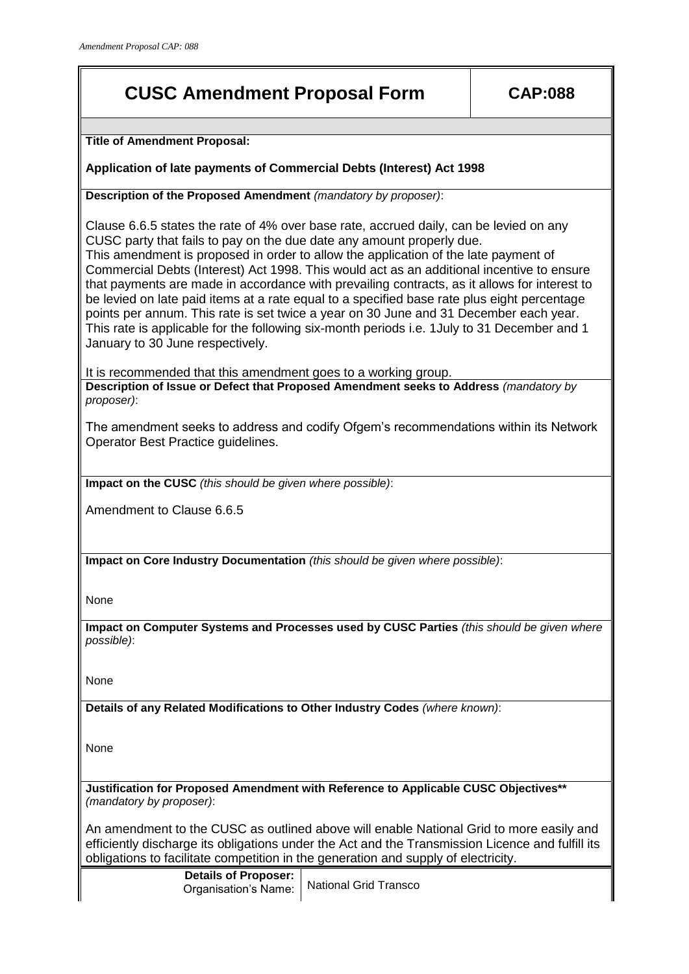## **CUSC Amendment Proposal Form CAP:088**

**Title of Amendment Proposal:**

**Application of late payments of Commercial Debts (Interest) Act 1998** 

**Description of the Proposed Amendment** *(mandatory by proposer)*:

Clause 6.6.5 states the rate of 4% over base rate, accrued daily, can be levied on any CUSC party that fails to pay on the due date any amount properly due. This amendment is proposed in order to allow the application of the late payment of Commercial Debts (Interest) Act 1998. This would act as an additional incentive to ensure that payments are made in accordance with prevailing contracts, as it allows for interest to be levied on late paid items at a rate equal to a specified base rate plus eight percentage points per annum. This rate is set twice a year on 30 June and 31 December each year. This rate is applicable for the following six-month periods i.e. 1July to 31 December and 1 January to 30 June respectively.

It is recommended that this amendment goes to a working group. **Description of Issue or Defect that Proposed Amendment seeks to Address** *(mandatory by proposer)*:

The amendment seeks to address and codify Ofgem's recommendations within its Network Operator Best Practice guidelines.

**Impact on the CUSC** *(this should be given where possible)*:

Amendment to Clause 6.6.5

**Impact on Core Industry Documentation** *(this should be given where possible)*:

None

**Impact on Computer Systems and Processes used by CUSC Parties** *(this should be given where possible)*:

None

**Details of any Related Modifications to Other Industry Codes** *(where known)*:

None

**Justification for Proposed Amendment with Reference to Applicable CUSC Objectives\*\***  *(mandatory by proposer)*:

An amendment to the CUSC as outlined above will enable National Grid to more easily and efficiently discharge its obligations under the Act and the Transmission Licence and fulfill its obligations to facilitate competition in the generation and supply of electricity.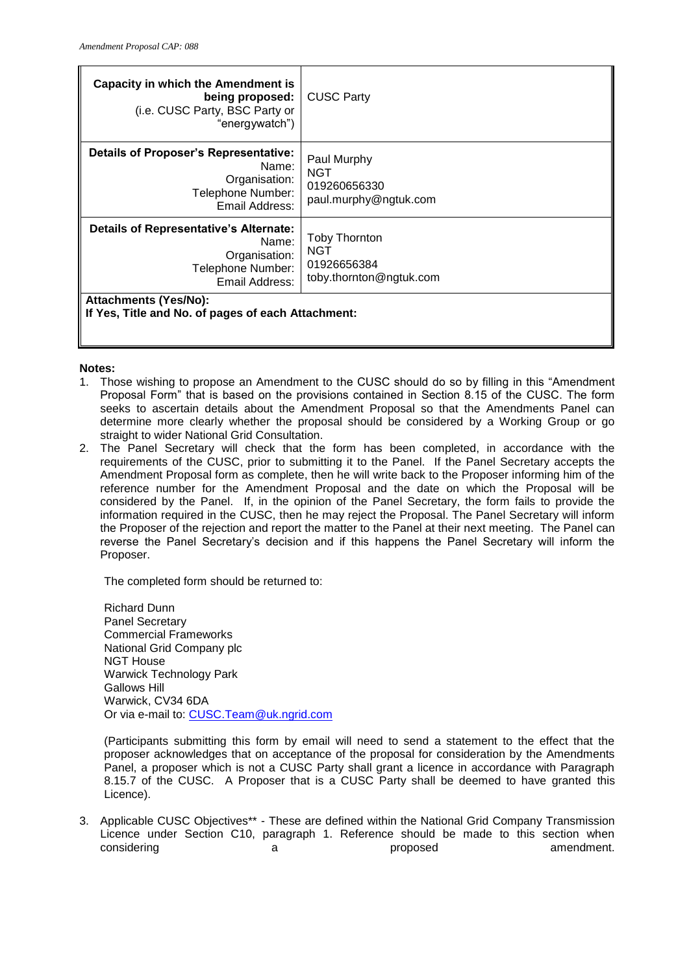| Capacity in which the Amendment is<br>being proposed:<br>(i.e. CUSC Party, BSC Party or<br>"energywatch")      | <b>CUSC Party</b>                                                     |
|----------------------------------------------------------------------------------------------------------------|-----------------------------------------------------------------------|
| Details of Proposer's Representative:<br>Name:<br>Organisation:<br>Telephone Number:<br>Email Address:         | Paul Murphy<br><b>NGT</b><br>019260656330<br>paul.murphy@ngtuk.com    |
| <b>Details of Representative's Alternate:</b><br>Name:<br>Organisation:<br>Telephone Number:<br>Email Address: | <b>Toby Thornton</b><br>NGT<br>01926656384<br>toby.thornton@ngtuk.com |
| Attachments (Yes/No):<br>If Yes, Title and No. of pages of each Attachment:                                    |                                                                       |

## **Notes:**

- 1. Those wishing to propose an Amendment to the CUSC should do so by filling in this "Amendment Proposal Form" that is based on the provisions contained in Section 8.15 of the CUSC. The form seeks to ascertain details about the Amendment Proposal so that the Amendments Panel can determine more clearly whether the proposal should be considered by a Working Group or go straight to wider National Grid Consultation.
- 2. The Panel Secretary will check that the form has been completed, in accordance with the requirements of the CUSC, prior to submitting it to the Panel. If the Panel Secretary accepts the Amendment Proposal form as complete, then he will write back to the Proposer informing him of the reference number for the Amendment Proposal and the date on which the Proposal will be considered by the Panel. If, in the opinion of the Panel Secretary, the form fails to provide the information required in the CUSC, then he may reject the Proposal. The Panel Secretary will inform the Proposer of the rejection and report the matter to the Panel at their next meeting. The Panel can reverse the Panel Secretary's decision and if this happens the Panel Secretary will inform the Proposer.

The completed form should be returned to:

Richard Dunn Panel Secretary Commercial Frameworks National Grid Company plc NGT House Warwick Technology Park Gallows Hill Warwick, CV34 6DA Or via e-mail to: [CUSC.Team@uk.ngrid.com](mailto:CUSC.Team@uk.ngrid.com)

(Participants submitting this form by email will need to send a statement to the effect that the proposer acknowledges that on acceptance of the proposal for consideration by the Amendments Panel, a proposer which is not a CUSC Party shall grant a licence in accordance with Paragraph 8.15.7 of the CUSC. A Proposer that is a CUSC Party shall be deemed to have granted this Licence).

3. Applicable CUSC Objectives\*\* - These are defined within the National Grid Company Transmission Licence under Section C10, paragraph 1. Reference should be made to this section when considering a proposed amendment.